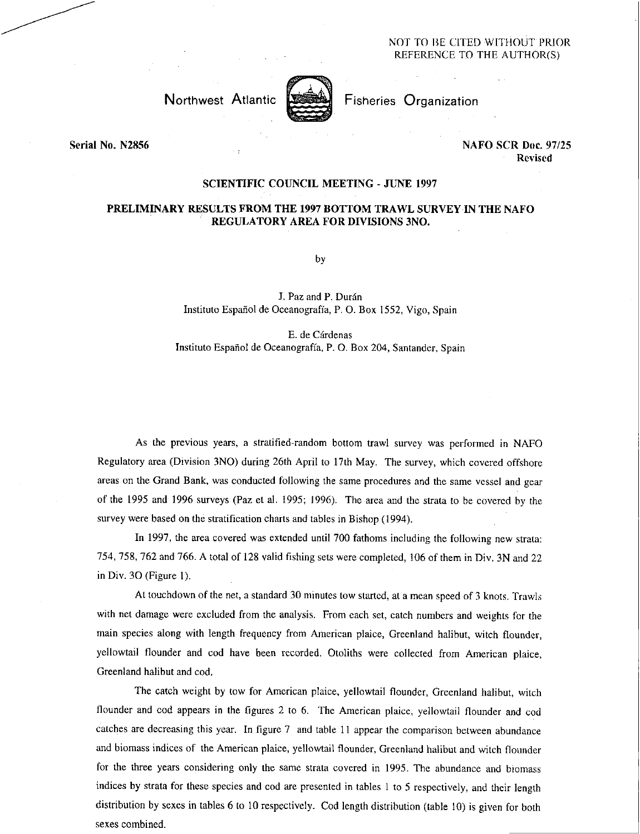## NOT TO BE CITED WITHOUT PRIOR REFERENCE TO THE AUTHOR(S)



Northwest Atlantic **Fisheries** Organization

Serial No. N2856 NAFO SCR Doc. 97/25 Revised

## SCIENTIFIC COUNCIL MEETING - JUNE 1997

## PRELIMINARY RESULTS FROM THE 1997 BOTTOM TRAWL SURVEY IN THE NAFO REGULATORY AREA FOR DIVISIONS 3NO.

by

J. Paz and P. Durán Instituto Español de Oceanografía, P. O. Box 1552, Vigo, Spain

E. de Cárdenas Instituto Espanol de Oceanografia, P. 0. Box 204, Santander, Spain

As the previous years, a stratified-random bottom trawl survey was performed in NAFO Regulatory area (Division 3NO) during 26th April to 17th May. The survey, which covered offshore areas on the Grand Bank, was conducted following the same procedures and the same vessel and gear of the 1995 and 1996 surveys (Paz et al. 1995; 1996). The area and the strata to be covered by the survey were based on the stratification charts and tables in Bishop (1994).

In 1997, the area covered was extended until 700 fathoms including the following new strata: 754, 758, 762 and 766. A total of 128 valid fishing sets were completed, 106 of them in Div. 3N and 22 in Div. 30 (Figure 1).

At touchdown of the net, a standard 30 minutes tow started, at a mean speed of 3 knots. Trawls with net damage were excluded from the analysis. From each set, catch numbers and weights for the main species along with length frequency from American plaice, Greenland halibut, witch flounder, yellowtail flounder and cod have been recorded. Otoliths were collected from American plaice, Greenland halibut and cod.

The catch weight by tow for American plaice, yellowtail flounder, Greenland halibut, witch flounder and cod appears in the figures 2 to 6. The American plaice, yellowtail flounder and cod catches are decreasing this year. In figure 7 and table 11 appear the comparison between abundance and biomass indices of the American plaice, yellowtail flounder, Greenland halibut and witch flounder for the three years considering only the same strata covered in 1995. The abundance and biomass indices by strata for these species and cod are presented in tables 1 to 5 respectively, and their length distribution by sexes in tables 6 to 10 respectively. Cod length distribution (table 10) is given for both sexes combined.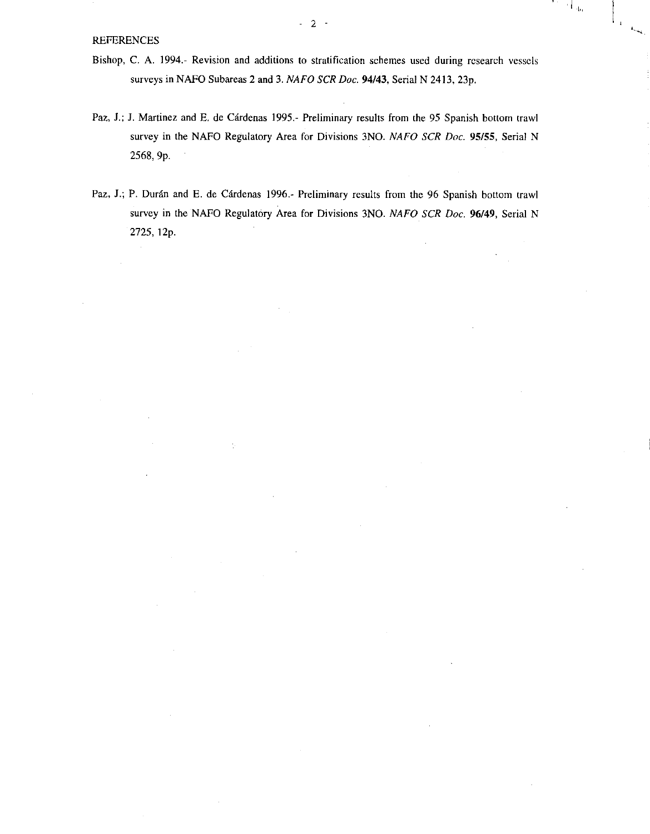- Bishop, C. A. 1994.- Revision and additions to stratification schemes used during research vessels surveys in NAFO Subareas 2 and 3. *NAFO SCR Doc.* 94/43, Serial N 2413, 23p.
- Paz, J.; J. Martinez and E. de Cárdenas 1995.- Preliminary results from the 95 Spanish bottom trawl survey in the NAFO Regulatory Area for Divisions 3NO. *NAFO SCR Doc.* 95/55, Serial N 2568, 9p.
- Paz, J.; P. Durán and E. de Cárdenas 1996.- Preliminary results from the 96 Spanish bottom trawl survey in the NAFO Regulatory Area for Divisions 3NO. *NAFO SCR Doc.* 96/49, Serial N 2725, 12p.

رية ا

 $\mathbb{F}_4$  $\mathbb{Z}$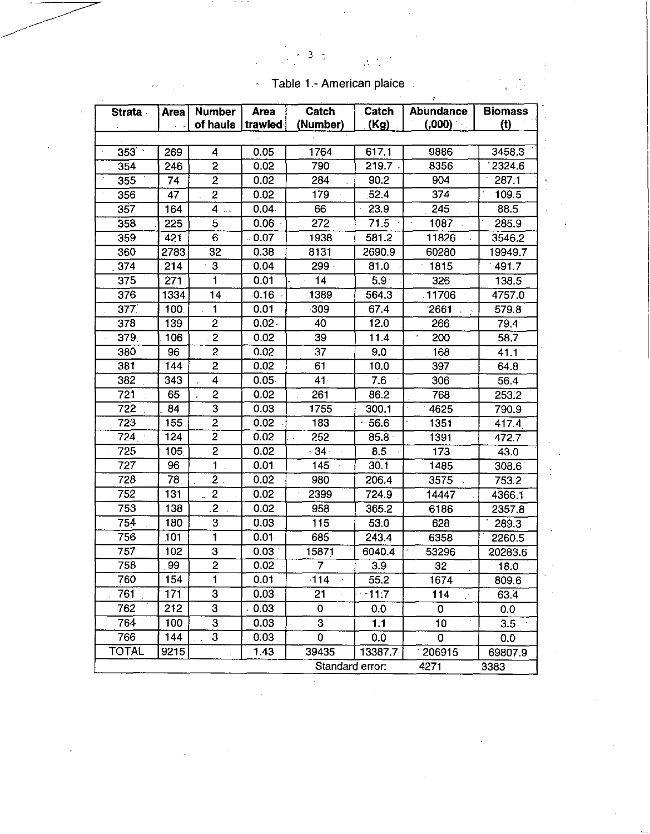| <b>Strata</b> | Area | <b>Number</b>           | Area              | Catch           | Catch            | <b>Abundance</b> | <b>Biomass</b> |
|---------------|------|-------------------------|-------------------|-----------------|------------------|------------------|----------------|
|               |      | of hauls                | trawled           | (Number)        | (Kg)             | (0.00)           | (t)            |
|               |      |                         |                   |                 |                  |                  |                |
| $353 -$       | 269  | 4                       | 0.05              | 1764            | 617.1            | 9886             | 3458.3         |
| 354           | 246  | $\overline{2}$          | 0.02              | 790             | 219.7,           | 8356             | 2324.6         |
| 355           | 74   | $\overline{2}$          | 0.02              | 284             | 90.2             | 904              | 287.1          |
| 356           | 47   | $\overline{2}$          | 0.02              | 179             | 52.4             | 374              | 109.5          |
| 357           | 164  | $4 -$                   | $0.04 -$          | 66              | 23.9             | 245              | 88.5           |
| 358           | 225  | 5.                      | 0.06              | 272             | 71.5             | 1087             | 285.9          |
| 359           | 421  | 6                       | $-0.07$           | 1938            | 581.2            | 11826            | 3546.2         |
| 360           | 2783 | 32                      | 0.38              | 8131            | 2690.9           | 60280            | 19949.7        |
| 374           | 214  | 3                       | 0.04              | $299 -$         | 81.0             | 1815             | 491.7          |
| 375           | 271  | 1                       | 0.01              | 14              | 5.9 <sup>°</sup> | 326              | 138.5          |
| 376           | 1334 | 14                      | $0.16$ .          | 1389            | 564.3            | 11706            | 4757.0         |
| 377           | 100  | 1                       | 0.01              | $-309$          | 67.4             | 2661             | 579.8          |
| 378           | 139  | $\overline{c}$          | $0.02 -$          | 40              | 12.0             | 266              | 79.4           |
| 379.          | 106  | $\overline{2}$          | 0.02              | 39              | 11.4             | 200              | 58.7           |
| 380           | 96   | $\overline{\mathbf{c}}$ | 0.02              | 37              | 9.0              | 168              | 41.1           |
| 381           | 144  | $\overline{c}$          | 0.02              | 61              | 10.0             | 397              | 64.8           |
| 382           | 343  | $\overline{4}$          | $0.05 -$          | 41 <sup>°</sup> | 7.6              | 306              | 56.4           |
| 721           | 65   | $\overline{c}$          | 0.02              | 261             | 86.2             | 768              | 253.2          |
| 722           | 84   | $\overline{\mathbf{3}}$ | 0.03              | 1755            | 300.1            | 4625             | 790.9          |
| 723           | 155  | $\overline{2}$          | 0.02              | 183             | 56.6             | 1351             | 417.4          |
| 724           | 124  | 2                       | 0.02              | 252             | $85.8 -$         | 1391             | 472.7          |
| 725           | 105  | $\overline{2}$          | 0.02              | - 34            | 8.5              | 173              | 43.0           |
| 727           | 96   | 1                       | 0.01              | 145             | 30.1             | 1485             | 308.6          |
| 728           | 78   | $\overline{2}$ .        | 0.02              | 980             | 206.4            | 3575             | 753.2          |
| 752           | 131  | $\mathbf{2}$            | 0.02              | 2399            | 724.9            | 14447            | 4366.1         |
| 753           | 138  | $\overline{c}$          | 0.02              | 958             | 365.2            | 6186             | 2357.8         |
| 754           | 180  | 3                       | 0.03              | 115             | 53.0             | 628              | 289.3          |
| 756           | 101  | 1                       | 0.01              | 685             | 243.4            | 6358             | 2260.5         |
| 757           | 102  | з                       | 0.03 <sup>2</sup> | 15871           | 6040.4           | 53296            | 20283.6        |
| 758           | 99   | $\overline{2}$          | 0.02              | 7               | 3.9              | 32               | 18.0           |
| 760           | 154  | 1                       | 0.01              | 114             | 55.2             | 1674             | 809.6          |
| 761           | 171  | 3                       | 0.03              | 21              | 11.7             | 114<br>Ò,        | 63.4           |
| 762           | 212  | 3                       | 0.03              | 0               | 0.0              | 0                | 0.0            |
| 764           | 100  | 3                       | 0.03              | 3               | 1.1              | 10               | $3.5 -$        |
| 766           | 144  | $3^{\circ}$             | 0.03              | 0               | 0.0              | $\bf{0}$         | 0.0            |
| <b>TOTAL</b>  | 9215 |                         | 1.43              | 39435           | 13387.7          | 206915           | 69807.9        |
|               |      |                         |                   | Standard error: |                  | 4271             | 3383           |

ł

Table 1.- American plaice

3

 $\cdot$ 

 $\overline{a}$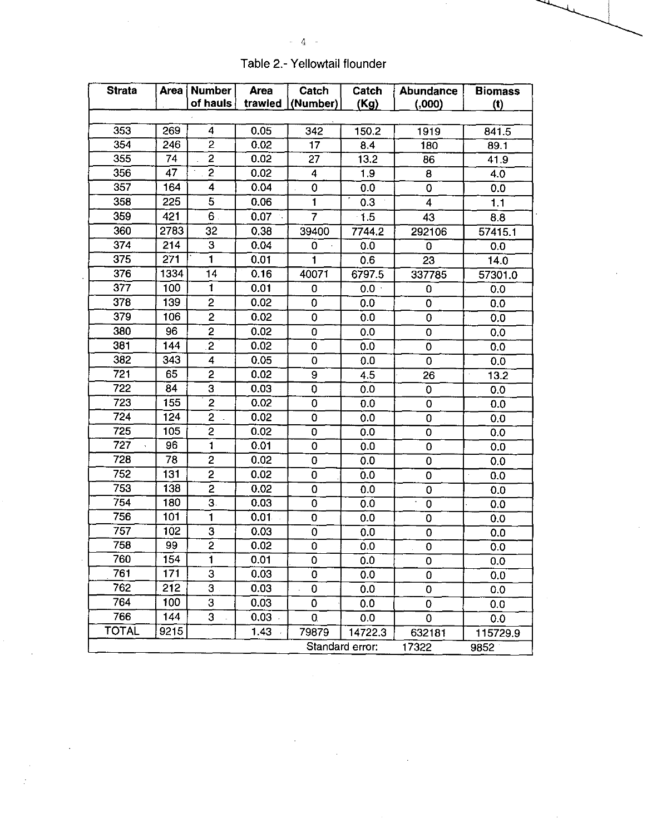| <b>Strata</b> | Area             | <b>Number</b>  | Area              | Catch        | Catch           | Abundance               | <b>Biomass</b>                     |
|---------------|------------------|----------------|-------------------|--------------|-----------------|-------------------------|------------------------------------|
|               |                  | of hauls       | trawled           | (Number)     | (Kg)            | (0.000)                 | (1)                                |
|               |                  |                |                   |              |                 |                         |                                    |
| 353           | 269              | 4              | 0.05              | 342          | 150.2           | 1919                    | 841.5                              |
| 354           | 246              | $\overline{c}$ | 0.02              | 17           | 8.4             | 180                     | 89.1                               |
| 355           | 74               | 2              | 0.02              | 27           | 13.2            | 86                      | 41.9                               |
| 356           | 47               | $\overline{2}$ | 0.02              | 4            | 1.9             | 8                       | 4.0                                |
| 357           | 164              | 4              | 0.04              | 0            | 0.0             | 0                       | 0.0                                |
| 358           | 225              | 5              | 0.06              | $\mathbf{1}$ | 0.3             | $\overline{\mathbf{4}}$ | 1.1                                |
| 359           | 421              | 6.             | 0.07              | 7            | $-1.5$          | 43                      | 8.8                                |
| 360           | 2783             | 32             | 0.38              | 39400        | 7744.2          | 292106                  | 57415.1                            |
| 374           | 214              | 3              | 0.04              | 0            | 0.0             | 0                       | 0.0                                |
| 375           | 271              | 1              | 0.01              | $\mathbf{1}$ | 0.6             | 23                      | 14.0                               |
| 376           | 1334             | 14             | 0.16              | 40071        | 6797.5          | 337785                  | 57301.0                            |
| 377           | 100              | 1              | 0.01              | 0            | $0.0 -$         | 0                       | 0.0                                |
| 378           | 139              | $\overline{c}$ | 0.02              | 0            | 0.0             | 0                       | 0.0                                |
| 379           | 106              | 2              | 0.02              | 0            | 0.0             | $\mathbf 0$             | 0.0                                |
| 380           | 96               | 2              | 0.02              | 0            | 0.0             | 0                       | 0.0                                |
| 381           | 144              | $\mathbf{2}$   | 0.02              | 0            | 0.0             | $\mathbf 0$             | 0.0                                |
| 382           | 343              | 4              | 0.05              | 0            | 0.0             | $\mathbf 0$             | 0.0                                |
| 721           | 65               | 2              | 0.02              | 9            | 4.5             | 26                      | 13.2                               |
| 722           | 84               | 3              | 0.03              | 0            | 0.0             | 0                       | 0.0                                |
| 723           | 155              | 2              | 0.02              | 0            | 0.0             | 0                       | 0.0                                |
| 724           | 124              | $\overline{c}$ | 0.02              | 0            | 0.0             | $\bf{0}$                | 0.0                                |
| 725           | 105              | $\overline{c}$ | 0.02              | 0            | 0.0             | $\mathbf 0$             | 0.0                                |
| 727           | 96               | $\mathbf{1}$   | 0.01              | 0            | 0.0             | 0                       | 0.0                                |
| 728           | 78               | $\overline{c}$ | 0.02              | 0            | 0.0             | 0                       | 0.0                                |
| 752           | 131              | $\overline{2}$ | 0.02              | 0            | 0.0             | 0                       | $\hat{\boldsymbol{\theta}}$<br>0.0 |
| 753           | 138              | 2              | 0.02              | 0            | 0.0             | 0                       | 0.0                                |
| 754           | 180              | З.             | 0.03              | 0            | 0.0             | 0                       | 0.0                                |
| 756           | 101              | 1              | 0.01              | 0            | 0.0             | 0                       | 0.0                                |
| 757           | 102              | 3              | 0.03              | 0            | 0.0             | $\mathbf 0$             | 0.0                                |
| 758           | 99               | 2              | 0.02              | 0            | 0.0             | 0                       | 0.0                                |
| 760           | $\overline{154}$ | Ï              | 0.01              | 0            | 0.0             | $\pmb{0}$               | 0.0                                |
| 761           | 171              | 3              | 0.03              | 0            | 0.0             | 0                       | 0.0                                |
| 762           | 212              | 3              | 0.03              | 0            | 0.0             | $\mathbf 0$             | 0.0                                |
| 764           | 100              | 3              | 0.03              | 0            | 0.0             | 0                       | 0.0                                |
| 766           | 144              | 3              | 0.03 <sub>1</sub> | 0            | 0.0             | $\mathbf 0$             | 0.0                                |
| <b>TOTAL</b>  | 9215             |                | 1.43              | 79879        | 14722.3         | 632181                  | 115729.9                           |
|               |                  |                |                   |              | Standard error: | 17322                   | 9852                               |

 $\sim$   $\sim$ 

l,

÷.

Table 2.- Yellowtail flounder

 $\cdot$ 

 $\sim$  4  $\sim$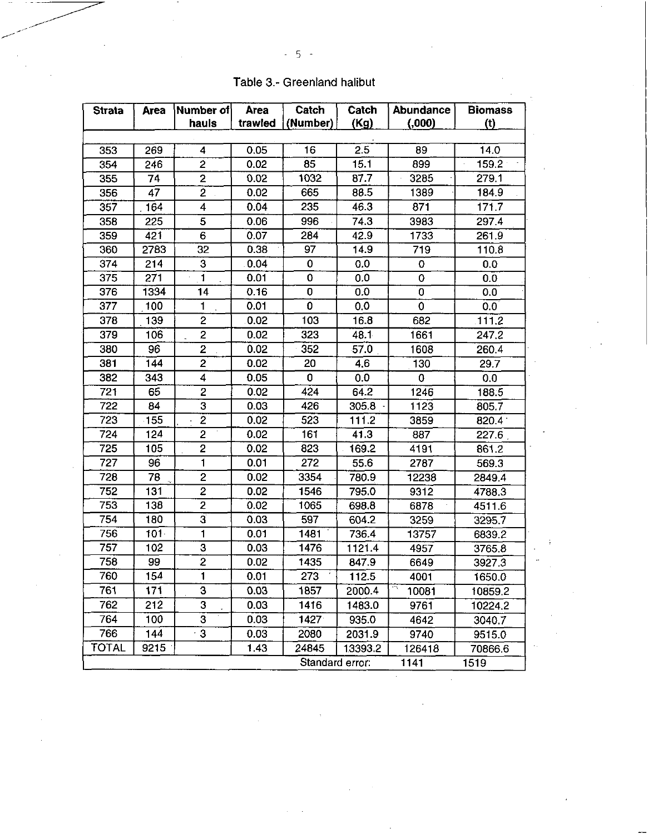| <b>Strata</b> | Area             | <b>Number of</b>        | <b>Area</b> | Catch           | Catch   | Abundance   | <b>Biomass</b> |
|---------------|------------------|-------------------------|-------------|-----------------|---------|-------------|----------------|
|               |                  | hauls                   | trawled     | (Number)        | (Kg)    | (0.00)      | (t)            |
|               |                  |                         |             |                 |         |             |                |
| 353           | 269              | 4                       | 0.05        | 16              | 2.5     | 89          | 14.0           |
| 354           | 246              | 2                       | 0.02        | 85              | 15.1    | 899         | 159.2          |
| 355           | 74               | 2                       | 0.02        | 1032            | 87.7    | 3285        | 279.1          |
| 356           | 47               | $\overline{2}$          | 0.02        | 665             | 88.5    | 1389        | 184.9          |
| 357           | 164              | 4                       | 0.04        | 235             | 46.3    | 871         | 171.7          |
| 358           | 225              | 5                       | 0.06        | 996             | 74.3    | 3983        | 297.4          |
| 359           | 421              | 6                       | 0.07        | 284             | 42.9    | 1733        | 261.9          |
| 360           | 2783             | 32                      | 0.38        | 97              | 14.9    | 719         | 110.8          |
| 374           | 214              | 3                       | 0.04        | 0               | 0.0     | 0           | 0.0            |
| 375           | 271              | $\overline{\mathbf{1}}$ | 0.01        | $\mathbf 0$     | 0.0     | $\pmb{0}$   | 0.0            |
| 376           | 1334             | 14                      | 0.16        | 0               | 0.0     | 0           | 0.0            |
| 377           | 100              | 1                       | 0.01        | $\mathbf 0$     | 0.0     | $\mathbf 0$ | 0.0            |
| 378           | 139              | $\overline{c}$          | 0.02        | 103             | 16.8    | 682         | 111.2          |
| 379           | 106              | $\overline{\mathbf{c}}$ | 0.02        | 323             | 48.1    | 1661        | 247.2          |
| 380           | 96               | 2                       | 0.02        | 352             | 57.0    | 1608        | 260.4          |
| 381           | 144              | 2                       | 0.02        | 20              | 4.6     | 130         | 29.7           |
| 382           | 343              | 4                       | 0.05        | 0               | 0,0     | 0           | 0.0            |
| 721           | 65               | 2                       | 0.02        | 424             | 64.2    | 1246        | 188.5          |
| 722           | 84               | $\overline{3}$          | 0.03        | 426             | 305.8   | 1123        | 805.7          |
| 723           | $-155$           | $\overline{2}$          | 0.02        | 523             | 111.2   | 3859        | 820.4          |
| 724           | 124              | 2                       | 0.02        | 161             | 41.3    | 887         | 227.6          |
| 725           | 105              | $\overline{2}$          | 0.02        | 823             | 169.2   | 4191        | 861.2          |
| 727           | 96               | 1                       | 0.01        | 272             | 55.6    | 2787        | 569.3          |
| 728           | 78               | 2                       | 0.02        | 3354            | 780.9   | 12238       | 2849.4         |
| 752           | 131              | 2                       | 0.02        | 1546            | 795.0   | 9312        | 4788.3         |
| 753           | 138              | $\overline{c}$          | 0.02        | 1065            | 698.8   | 6878        | 4511.6         |
| 754           | 180              | $\overline{3}$          | 0.03        | 597             | 604.2   | 3259        | 3295.7         |
| 756           | $101 -$          | 1                       | 0.01        | 1481            | 736.4   | 13757       | 6839.2         |
| 757           | 102              | 3                       | 0.03        | 1476            | 1121.4  | 4957        | 3765.8         |
| 758           | 99               | 2                       | 0.02        | 1435            | 847.9   | 6649        | 3927.3         |
| 760           | $\overline{154}$ | $\mathbf{1}$            | 0.01        | 273             | 112.5   | 4001        | 1650.0         |
| 761           | 171              | 3                       | 0.03        | 1857            | 2000.4  | 10081       | 10859.2        |
| 762           | 212              | 3                       | 0.03        | 1416            | 1483.0  | 9761        | 10224.2        |
| 764           | 100              | $\overline{3}$          | 0.03        | $1427 -$        | 935.0   | 4642        | 3040.7         |
| 766           | 144              | 3                       | 0.03        | 2080            | 2031.9  | 9740        | 9515.0         |
| <b>TOTAL</b>  | 9215             |                         | 143         | 24845           | 13393.2 | 126418      | 70866.6        |
|               |                  |                         |             | Standard error: |         | 1141        | 1519           |

Table 3.- Greenland halibut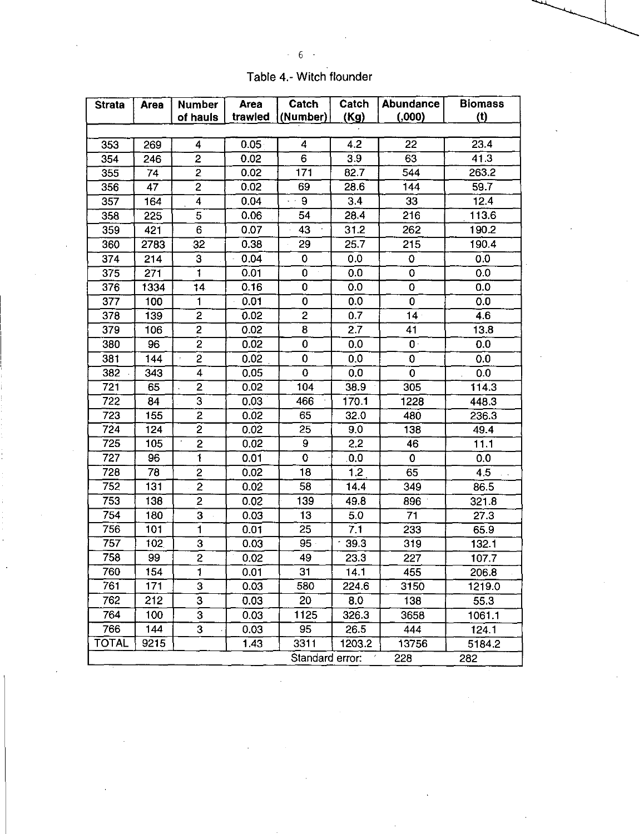| _<br>- |
|--------|
|--------|

 $\mathcal{L}^{(1)}$ 

|  | Table 4.- Witch flounder |
|--|--------------------------|
|  |                          |

 $\frac{1}{\sqrt{2}}\int_{0}^{\sqrt{2}}\frac{1}{\sqrt{2}}\left( \frac{1}{2}\right) ^{2}d\mu$ 

| <b>Strata</b> | <b>Area</b> | <b>Number</b>  | <b>Area</b> | Catch           | Catch            | <b>Abundance</b> | <b>Biomass</b><br>(t) |
|---------------|-------------|----------------|-------------|-----------------|------------------|------------------|-----------------------|
|               |             | of hauls       | trawled     | (Number)        | (Kg)             | (0.000)          |                       |
| 353           | 269         | 4              | 0.05        | 4               | 4.2              | 22               | 23.4                  |
| 354           | 246         | 2              | 0.02        | 6               | 3.9              | 63               | 41.3                  |
| 355           | 74          | 2              | 0.02        | 171             | 82.7             | 544              | 263.2                 |
| 356           | 47          | 2              | 0.02        | 69              | 28.6             | 144              | 59.7                  |
| 357           | 164         | 4              | 0.04        | 9               | 3.4              | 33               | 12.4                  |
| 358           | 225         | 5              | 0.06        | 54              | 28.4             | 216              | 113.6                 |
| 359           | 421         | 6              | 0.07        | 43              | 31.2             | 262              | 190.2                 |
| 360           | 2783        | 32             | 0.38        | 29              | 25.7             | 215              | 190.4                 |
| 374           | 214         | 3              | 0.04        | 0               | 0.0              | 0                | 0.0                   |
| 375           | 271         | 1              | 0.01        | 0               | 0.0              | 0                | 0.0                   |
| 376           | 1334        | 14             | 0.16        | 0               | 0.0              | 0                | 0.0                   |
| 377           | 100         | $\mathbf{1}$   | 0.01        | 0               | 0.0              | 0                | 0.0                   |
| 378           | 139         | $\overline{c}$ | 0.02        | $\overline{c}$  | 0.7              | 14 <sup>1</sup>  | 4.6                   |
| 379           | 106         | 2              | 0.02        | 8               | 2.7              | 41               | 13.8                  |
| 380           | 96          | $\overline{c}$ | 0.02        | 0               | 0.0              | $\mathbf{0}$     | 0.0                   |
| 381           | 144         | $\overline{2}$ | 0.02        | 0               | 0.0              | $\mathbf 0$      | 0.0                   |
| 382           | 343         | 4              | 0.05        | 0               | 0.0              | $\mathbf 0$      | 0.0                   |
| 721           | 65          | 2              | 0.02        | 104             | 38.9             | 305              | 114.3                 |
| 722           | 84          | 3              | 0.03        | 466             | 170.1            | 1228             | 448.3                 |
| 723           | 155         | 2              | 0.02        | 65              | 32.0             | 480              | 236.3                 |
| 724           | 124         | $\overline{2}$ | 0.02        | 25              | 9.0              | 138              | 49.4                  |
| 725           | 105         | $\overline{2}$ | 0.02        | 9               | 2.2              | 46               | 11.1                  |
| 727           | 96          | Ï.             | 0.01        | 0               | 0.0              | $\mathbf 0$      | 0.0                   |
| 728           | 78          | $\overline{c}$ | 0.02        | 18              | 1.2 <sub>2</sub> | 65               | 4.5<br>$\mathbf{r}$   |
| 752           | 131         | $\overline{2}$ | 0.02        | 58              | 14.4             | 349              | 86.5                  |
| 753           | 138         | $\overline{c}$ | 0.02        | 139             | 49.8             | 896              | 321.8                 |
| 754           | 180         | 3              | 0.03        | 13              | 5.0              | 71               | 27.3                  |
| 756           | 101         | 1              | 0.01        | 25              | 7.1              | 233              | 65.9                  |
| 757           | 102         | 3              | 0.03        | $95 -$          | 39.3             | 319              | 132.1                 |
| 758           | 99          | 2              | 0.02        | 49              | 23.3             | 227              | 107.7                 |
| 760           | 154         | T              | 0.01        | 31              | 14.1             | 455              | 206.8                 |
| 761           | 171         | 3              | 0.03        | 580             | 224.6            | 3150             | 1219.0                |
| 762           | 212         | 3              | 0.03        | 20              | 8.0              | 138              | 55.3                  |
| 764           | 100         | 3              | 0.03        | 1125            | 326.3            | 3658             | 1061.1                |
| 766           | 144         | 3              | 0.03        | 95              | 26.5             | 444              | 124.1                 |
| <b>TOTAL</b>  | 9215        |                | 1.43        | 3311            | 1203.2           | 13756            | 5184.2                |
|               |             |                |             | Standard error. |                  | 228              | 282                   |

 $\label{eq:2} \frac{1}{\sqrt{2}}\left(\frac{1}{\sqrt{2}}\right)^2\frac{1}{\sqrt{2}}\left(\frac{1}{\sqrt{2}}\right)^2.$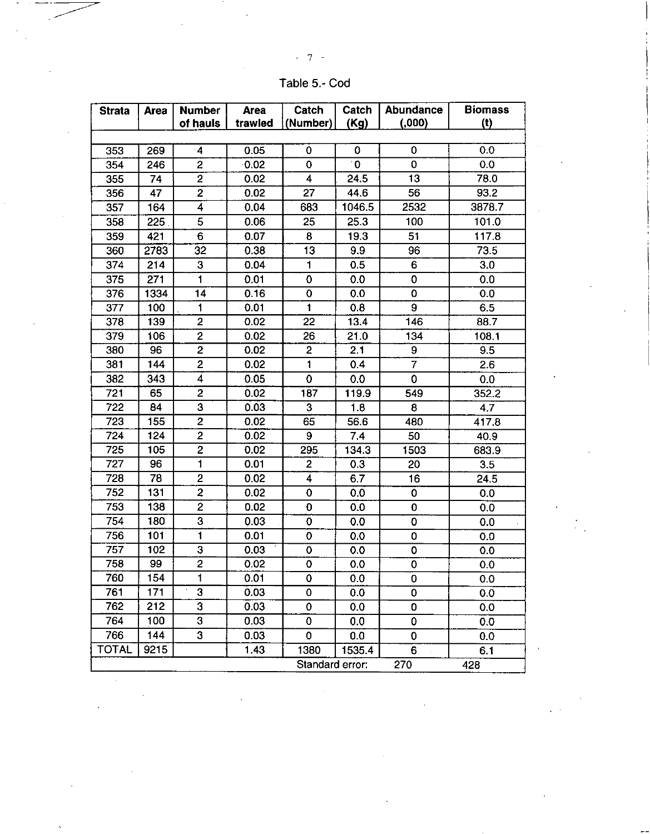Table 5.- Cod

| <b>Strata</b> | <b>Area</b> | <b>Number</b>           | <b>Area</b> | Catch           | Catch        | <b>Abundance</b> | <b>Biomass</b> |
|---------------|-------------|-------------------------|-------------|-----------------|--------------|------------------|----------------|
|               |             | of hauls                | trawled     | (Number)        | (Kg)         | (0.000)          | (t)            |
|               |             |                         |             |                 |              |                  |                |
| 353           | 269         | $\cdot$ 4               | 0.05        | 0               | 0            | 0                | 0.0            |
| 354           | 246         | 2                       | 0.02        | $\bf{0}$        | $\mathbf{0}$ | $\mathbf 0$      | 0.0            |
| 355           | 74          | $\overline{c}$          | 0.02        | 4               | 24.5         | 13               | 78.0           |
| 356           | 47          | $\overline{\mathbf{c}}$ | 0.02        | 27              | 44.6         | 56               | 93.2           |
| 357           | 164         | 4                       | 0.04        | 683             | 1046.5       | 2532             | 3878.7         |
| 358           | 225         | 5                       | 0.06        | 25              | 25.3         | 100              | 101.0          |
| 359           | 421         | 6                       | 0.07        | 8               | 19.3         | 51               | 117.8          |
| 360           | 2783        | 32                      | 0.38        | 13              | 9.9          | 96               | 73.5           |
| 374           | 214         | 3                       | 0.04        | 1               | 0.5          | 6                | 3.0            |
| 375           | 271         | 1                       | 0.01        | $\overline{0}$  | 0.0          | $\mathbf 0$      | 0.0            |
| 376           | 1334        | 14                      | 0.16        | 0               | 0.0          | $\mathbf 0$      | 0.0            |
| 377           | 100         | 1                       | 0.01        | 1               | 0.8          | 9                | 6.5            |
| 378           | 139         | $\overline{2}$          | 0.02        | 22              | 13.4         | 146              | 88.7           |
| 379           | 106         | $\overline{2}$          | 0.02        | 26              | 21.0         | 134              | 108.1          |
| 380           | 96          | $\overline{c}$          | 0.02        | $\overline{c}$  | 2.1          | 9                | 9.5            |
| 381           | 144         | $\overline{2}$          | 0.02        | 1               | 0.4          | 7                | 2.6            |
| 382           | 343         | $\overline{\mathbf{4}}$ | 0.05        | 0               | 0.0          | $\mathbf 0$      | 0.0            |
| 721           | 65          | $\overline{2}$          | 0.02        | 187             | 119.9        | 549              | 352.2          |
| 722           | 84          | 3                       | 0.03        | 3               | 1.8          | 8                | 4.7            |
| 723           | 155         | $\overline{c}$          | 0.02        | 65              | 56.6         | 480              | 417.8          |
| 724           | 124         | $\overline{2}$          | 0.02        | 9               | 7.4          | 50               | 40.9           |
| 725           | 105         | $\overline{c}$          | 0.02        | 295             | 134.3        | 1503             | 683.9          |
| 727           | 96          | 1                       | 0.01        | $\overline{2}$  | 0.3          | 20               | 3.5            |
| 728           | 78          | $\overline{2}$          | 0.02        | $\overline{4}$  | 6.7          | 16               | 24.5           |
| 752           | 131         | $\overline{\mathbf{c}}$ | 0.02        | 0               | 0.0          | $\mathbf 0$      | 0.0            |
| 753           | 138         | $\overline{c}$          | 0.02        | $\overline{0}$  | 0.0          | $\mathbf 0$      | 0.0            |
| 754           | 180         | 3                       | 0.03        | 0               | 0.0          | 0                | 0.0            |
| 756           | 101         | $\blacksquare$          | 0.01        | $\mathbf 0$     | 0.0          | $\mathbf 0$      | 0.0            |
| 757           | 102         | 3                       | 0.03        | 0               | 0.0          | $\mathbf 0$      | 0.0            |
| 758           | 99          | $\overline{\mathbf{c}}$ | 0.02        | 0               | 0.0          | $\mathbf 0$      | 0.0            |
| 760           | 154         | 1                       | 0.01        | 0               | 0.0          | Ö,               | 0.0            |
| 761           | 171         | 3                       | 0.03        | 0               | $0.0\,$      | 0                | 0.0            |
| 762           | 212         | 3                       | 0.03        | 0               | 0.0          | 0                | 0.0            |
| 764           | 100         | 3                       | 0.03        | 0               | 0.0          | $\mathbf{0}$     | 0.0            |
| 766           | 144         | 3                       | 0.03        | 0               | 0.0          | $\mathbf 0$      | 0.0            |
| TOTAL         | 9215        |                         | 1.43        | 1380            | 1535.4       | 6                | 6.1            |
|               |             |                         |             | Standard error: |              | 270              | 428            |

 $-7 -$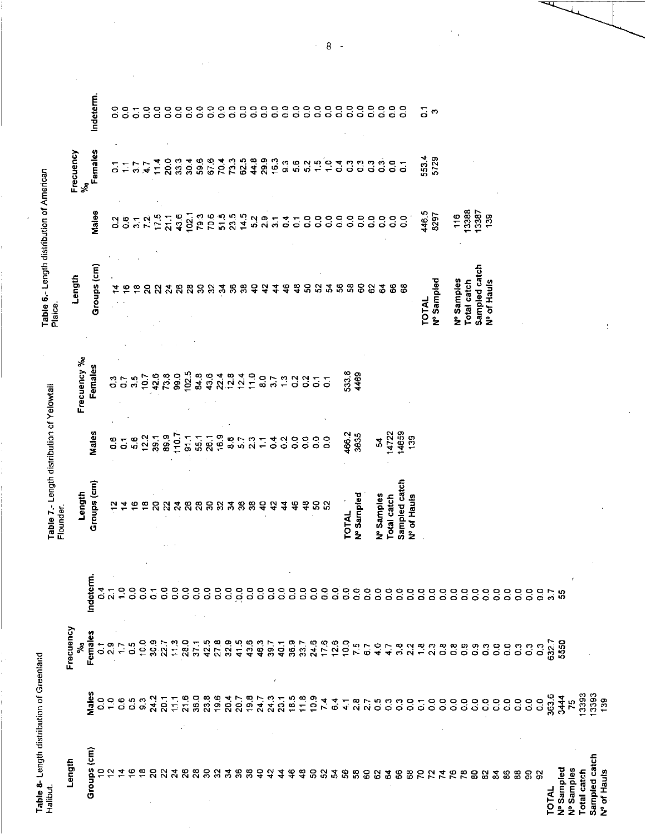| ì<br>э |  |
|--------|--|
|        |  |
| Ę<br>J |  |
| j      |  |
|        |  |

| Table 8- Length distribution of Greenland<br>Halibut. |                |                                                        |                                                                                                  | Table 7.- Length distribution of Yelowtail |                         |                           | Table 6.- Length distribution of American<br>Plaice. |                                     |                    |  |
|-------------------------------------------------------|----------------|--------------------------------------------------------|--------------------------------------------------------------------------------------------------|--------------------------------------------|-------------------------|---------------------------|------------------------------------------------------|-------------------------------------|--------------------|--|
| Length                                                |                | Frecuency                                              |                                                                                                  | Flounder.                                  |                         |                           |                                                      |                                     |                    |  |
|                                                       |                | $\epsilon$                                             |                                                                                                  | Length                                     |                         | Frecuency %o              | Length                                               |                                     | Frecuency<br>ళ్లీ  |  |
| Groups (cm)                                           | Male:          | Females                                                | Indeterm.                                                                                        | Groups (cm)                                | Males                   | Females                   | Groups (cm)                                          | Males                               | Females            |  |
|                                                       | 0000000        | $\frac{1}{2}$ $\frac{1}{2}$                            | $\frac{4}{21}$                                                                                   | <u>ង</u>                                   | $\mathbf{0}.\mathbf{6}$ | $\mathbf{c}_2$            |                                                      |                                     |                    |  |
| 74                                                    |                |                                                        | $\frac{1}{2}$                                                                                    |                                            | $\overline{5}$          | $\overline{0}$            |                                                      | $\overline{0}$<br>$\overline{0}$    | ်                  |  |
|                                                       |                | $\frac{17}{0.5}$                                       | $\mathbf{c}^{\circ}$                                                                             |                                            | 5.6                     | 3.5                       | ≌                                                    | $\overline{\mathbf{3}}$             | ్గ                 |  |
|                                                       |                |                                                        | $\ddot{\circ}$                                                                                   | ≌                                          |                         | 10.7                      | ន្ល                                                  | 72                                  | СÞ.                |  |
| S                                                     | 24.2<br>20.1   | $10987$<br>$7887$                                      | $\ddot{\circ}$                                                                                   | $\overline{a}$                             | $25.98$<br>$25.98$      | 42.6                      | ଧ୍ୟ                                                  | 17.5                                | 11.4               |  |
|                                                       |                |                                                        | $\frac{0}{\sigma}$                                                                               | $\mathbf{z}$                               |                         | 73.8                      | $\mathbf{z}$                                         | $\overline{21.1}$                   | 20.0               |  |
|                                                       | $11.1$         | $\frac{1}{2}$                                          | $\frac{0}{2}$                                                                                    | $\overline{24}$                            | 110.7                   | 99.0                      | ಸಿ                                                   | 43.6                                | 33.3               |  |
| <b>ភី នី</b> នី                                       |                |                                                        | $\ddot{\circ}$                                                                                   | 26                                         | 51.1                    | 102.5                     | $\overline{28}$                                      | 102.1                               | 30.4               |  |
|                                                       |                |                                                        | $\mathbf{c}^{\mathbf{c}}$                                                                        | $\overline{28}$                            | 55.1                    | 84.8                      | S <sub>0</sub>                                       | 79.3                                | 596                |  |
| $\overline{3}$<br>$\mathfrak{L}$                      |                |                                                        | $\begin{array}{c} 0 \\ 0 \\ 0 \end{array}$                                                       | S                                          | 26.1                    | 43.6                      | 32                                                   | 70.6                                | 67.6               |  |
|                                                       |                |                                                        | 0.0                                                                                              | S                                          | 16.9                    | 22.4                      | 24                                                   | 584                                 | 70.4               |  |
|                                                       |                |                                                        | 0.0                                                                                              | $\mathfrak{F}$                             | $\frac{8}{3}$<br>5.7    | 12.8                      | 8                                                    |                                     | 73.5<br>62.5       |  |
| 88                                                    |                |                                                        | $\ddot{\circ}$                                                                                   | $\frac{8}{2}$<br>38                        | 2.3                     | 12.4<br>11.0              | 38                                                   |                                     |                    |  |
|                                                       |                |                                                        | <b>o</b>                                                                                         | $\mathbf{a}$                               | $\overline{a}$          | $\mathbf{S}^{\mathbf{O}}$ | $\overline{a}$<br>$\ddot{ }$                         | $5.2$<br>2.9                        | 44.8<br>29.9       |  |
|                                                       | $\epsilon$     |                                                        | $\overline{0}$                                                                                   | $\ddot{r}$                                 | $\frac{4}{1}$           | 3.7                       | 4                                                    |                                     | 16.3               |  |
|                                                       |                |                                                        | $\frac{0}{2}$                                                                                    | 4                                          | $\frac{2}{3}$           | 1.3                       | $\frac{6}{4}$                                        | 537                                 |                    |  |
|                                                       |                |                                                        | $\mathbf{S}$                                                                                     | $\frac{6}{4}$                              | $\overline{c}$          | $\overline{0}$            | $\frac{8}{4}$                                        |                                     | ာ တို့<br>တို့ ဟို |  |
| 33349988588888                                        |                |                                                        | $\overline{0}$                                                                                   | ទ្                                         | $\frac{1}{2}$           | $\frac{2}{5}$             | န္တ                                                  | C.O                                 | $\frac{2}{5}$      |  |
|                                                       |                |                                                        | $\frac{0}{5}$                                                                                    | ${\bf S}$                                  | $\mathbf{c}$            | $\overline{\bullet}$      | 52                                                   | $\mathbf{c}^{\circ}$                | $\frac{15}{10}$    |  |
|                                                       |                |                                                        | S.                                                                                               | S <sub>2</sub>                             | $\overline{0}$          | $\overline{S}$            | ź,                                                   | $\ddot{\circ}$                      | $\frac{1}{2}$      |  |
|                                                       |                |                                                        | $\mathbf{c}^{\mathbf{c}}$                                                                        | f                                          |                         |                           | 58                                                   | $\mathbf{c}$                        | ₹.<br>Ó            |  |
|                                                       |                |                                                        | $\mathbf{c}^{\mathbf{c}}$<br>S°                                                                  | <b>TOTAL</b>                               | 466.2                   | 533.8                     | ႙                                                    | $\frac{0}{0}$                       | $\ddot{\circ}$     |  |
|                                                       |                |                                                        | $\mathbf{S}^{\mathbf{O}}$                                                                        | Nº Sampled                                 | 3635                    | 4469                      | $\rm ^{\circ}$                                       |                                     | ို ၁<br>ဝ ၁        |  |
|                                                       |                |                                                        | $\mathbf{c}^{\circ}$                                                                             | Nº Samples                                 | 3                       |                           | 62                                                   | $rac{0}{0}$ $rac{0}{0}$ $rac{0}{0}$ |                    |  |
|                                                       |                |                                                        | $\overline{0}$ .                                                                                 |                                            |                         |                           | $\frac{4}{5}$                                        |                                     | $\ddot{\rm o}$     |  |
|                                                       |                |                                                        |                                                                                                  | <b>Total catch</b>                         | 4722                    |                           | 8                                                    | $\ddot{\circ}$                      | $\overline{0}$     |  |
| 68                                                    |                |                                                        | e e e                                                                                            | Sampled catch<br>Nº of Hauls               | 14659<br>139            |                           | 88                                                   | $\frac{1}{5}$                       | $\overline{5}$     |  |
|                                                       |                |                                                        |                                                                                                  |                                            |                         |                           |                                                      |                                     |                    |  |
| <b>RAXEES</b>                                         |                |                                                        |                                                                                                  |                                            |                         |                           | TOTAL                                                | 446.5<br>8297                       | 5534<br>5729       |  |
|                                                       |                |                                                        |                                                                                                  |                                            |                         |                           | Nº Sampled                                           |                                     |                    |  |
|                                                       |                |                                                        |                                                                                                  |                                            |                         |                           | Nº Samples                                           | 116                                 |                    |  |
|                                                       |                |                                                        |                                                                                                  |                                            |                         |                           | Total catch                                          | 13388                               |                    |  |
|                                                       |                |                                                        |                                                                                                  |                                            |                         |                           | Sampled catch                                        | 13387                               |                    |  |
| 82                                                    |                | $\begin{smallmatrix} 3 & 0 \\ 0 & 0 \end{smallmatrix}$ |                                                                                                  |                                            |                         |                           | Nº of Hauls                                          | 139                                 |                    |  |
| $\boldsymbol{5}$                                      |                |                                                        | $\begin{array}{c} 0 & 0 & 0 & 0 & 0 & 0 & 0 & 0 \\ 0 & 0 & 0 & 0 & 0 & 0 & 0 & 0 \\ \end{array}$ |                                            |                         |                           |                                                      |                                     |                    |  |
| $\$$                                                  |                | $\mathbf{c}$                                           |                                                                                                  |                                            |                         |                           |                                                      |                                     |                    |  |
| 88                                                    |                | $\ddot{\circ}$                                         |                                                                                                  |                                            |                         |                           |                                                      |                                     |                    |  |
| 88                                                    |                | $\begin{smallmatrix} 0 & 0 \\ 0 & 0 \end{smallmatrix}$ | $\mathbf{c}^{\mathbf{c}}$                                                                        |                                            |                         |                           |                                                      |                                     |                    |  |
| TOTAL                                                 |                |                                                        | <b>CO</b>                                                                                        |                                            |                         |                           |                                                      |                                     |                    |  |
|                                                       | 363.6          | 6327                                                   | 3.7                                                                                              |                                            |                         |                           |                                                      |                                     |                    |  |
| Nº Sampled<br>Nº Samples                              | 3444<br>75     | 5550                                                   | ္မ                                                                                               |                                            |                         |                           |                                                      |                                     |                    |  |
| Total catch                                           |                |                                                        |                                                                                                  |                                            |                         |                           |                                                      |                                     |                    |  |
| Sampled catch                                         | 13393<br>13393 |                                                        |                                                                                                  |                                            |                         |                           |                                                      |                                     |                    |  |
| Nº of Hauls                                           | 139            |                                                        |                                                                                                  |                                            |                         |                           |                                                      |                                     |                    |  |

 $\ddot{\phantom{0}}$ 

 $\sim$ 

 $\bar{z}$ 

 $\mathcal{L}$ 

Indeterm.

 $\bar{t}$ 

 $\frac{1}{6}$  o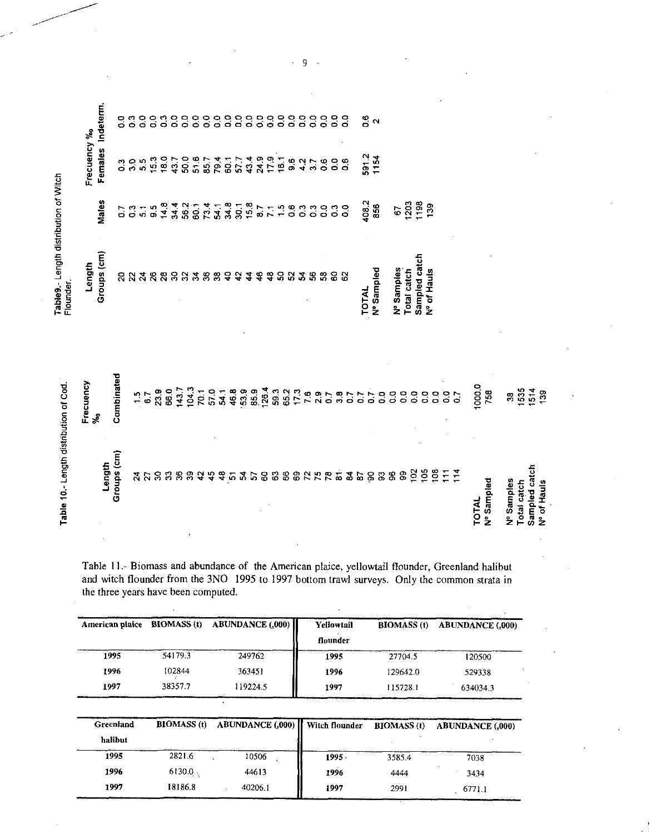Table9.- Length distribution of Witch

|                    | Table 10.- Length distribution of Cod |                                                          | Flounder.                     |                                                                   |                            |                                                                |
|--------------------|---------------------------------------|----------------------------------------------------------|-------------------------------|-------------------------------------------------------------------|----------------------------|----------------------------------------------------------------|
|                    |                                       | Frecuency<br>ళ్ల                                         | Length                        |                                                                   | Frecuency %                |                                                                |
|                    | Length                                |                                                          | Groups (cm)                   | Males                                                             |                            | Females Indeterm.                                              |
|                    | Groups (cm)                           | Combinated                                               | ន                             |                                                                   |                            |                                                                |
|                    |                                       |                                                          |                               |                                                                   | $\frac{3}{5}$              | $\begin{smallmatrix} 0 & 0 & 0 \\ 0 & 0 & 0 \end{smallmatrix}$ |
|                    |                                       | $\frac{1}{6}$ .7                                         | $\boldsymbol{\ddot{\lambda}}$ | $\begin{array}{ccc}\n5 & 0 & - & 0 \\ 0 & 0 & 0 & 0\n\end{array}$ | 5.5                        |                                                                |
|                    |                                       |                                                          | $\boldsymbol{3}$              |                                                                   |                            | <u>ိ</u>                                                       |
|                    | <b>ង</b> ឯននន                         | 23.9<br>66.0                                             | $\boldsymbol{\mathcal{S}}$    |                                                                   | $15.0$<br>$18.7$<br>$43.7$ | 0000000                                                        |
|                    |                                       |                                                          | ន្ល                           |                                                                   |                            |                                                                |
|                    |                                       | 143.7<br>104.3                                           | $\Omega$                      |                                                                   | 0.0741749.9<br>6.09266427  |                                                                |
|                    | 33                                    |                                                          | $\boldsymbol{3}$              |                                                                   |                            |                                                                |
|                    | $\frac{1}{4}$                         | 70.1<br>57.0                                             | 36                            |                                                                   |                            |                                                                |
|                    | $\frac{3}{4}$                         |                                                          | $33$                          |                                                                   |                            |                                                                |
|                    |                                       |                                                          | $\boldsymbol{a}$              |                                                                   |                            |                                                                |
|                    | 24                                    | $7, 8, 9, 9, 9, 4$<br>$7, 8, 6, 8, 2$<br>$7, 8, 6, 8, 2$ | $\ddot{ }$                    |                                                                   |                            | 888                                                            |
|                    | 57                                    |                                                          | $\frac{4}{3}$                 |                                                                   |                            |                                                                |
|                    | SO                                    |                                                          | $\frac{6}{4}$                 |                                                                   |                            |                                                                |
|                    | $\boldsymbol{63}$                     | 59.3                                                     | $\frac{3}{4}$                 |                                                                   |                            | 888                                                            |
|                    |                                       |                                                          | S                             |                                                                   | 16.1                       |                                                                |
|                    |                                       |                                                          | $\mathbf{S}$                  |                                                                   | 9.2                        | $\frac{8}{5}$                                                  |
|                    |                                       |                                                          | 3                             |                                                                   |                            |                                                                |
|                    |                                       |                                                          | S.                            |                                                                   | 3.7                        | c.o                                                            |
|                    | 882225588                             | 6577697877                                               | 3                             |                                                                   | $\frac{6}{2}$              | <u>ွ</u>                                                       |
|                    |                                       |                                                          | 8                             |                                                                   | $\mathbf{c}^{\circ}$       | $\mathbf{c}$                                                   |
|                    |                                       |                                                          | $\mathbf{S}$                  |                                                                   | $\frac{6}{5}$              | 8                                                              |
|                    |                                       |                                                          |                               |                                                                   |                            |                                                                |
|                    |                                       |                                                          | <b>TOTAL</b>                  |                                                                   |                            |                                                                |
|                    |                                       |                                                          | Nº Sampled                    | 408.2<br>856                                                      | 591.2<br>1154              | <u>ိ</u> လ                                                     |
|                    | 5.3.9                                 |                                                          |                               |                                                                   |                            |                                                                |
|                    |                                       |                                                          | Nº Samples                    | 57                                                                |                            |                                                                |
|                    | $\mathbf{g}$                          |                                                          | Total catch                   |                                                                   |                            |                                                                |
|                    | 102                                   |                                                          | Sampled catch                 |                                                                   |                            |                                                                |
|                    | $\frac{6}{5}$                         |                                                          | Nº of Hauls                   | $238$<br>$139$                                                    |                            |                                                                |
|                    | 108                                   |                                                          |                               |                                                                   |                            |                                                                |
|                    | $\ddot{ }$                            | $\begin{array}{c} 0 & 0 & 1 \\ 0 & 0 & 0 \end{array}$    |                               |                                                                   |                            |                                                                |
|                    | 114                                   |                                                          |                               |                                                                   |                            |                                                                |
| <b>TOTAL</b>       |                                       | 1000.0                                                   |                               |                                                                   |                            |                                                                |
| Nº Sampled         |                                       | 758                                                      |                               |                                                                   |                            |                                                                |
| Nº Samples         |                                       | $38\,$                                                   |                               |                                                                   |                            |                                                                |
| <b>Total catch</b> |                                       | 1535                                                     |                               |                                                                   |                            |                                                                |
|                    | Sampled catch                         |                                                          |                               |                                                                   |                            |                                                                |
| Nº of Hauls        |                                       | $1514$<br>139                                            |                               |                                                                   |                            |                                                                |
|                    |                                       |                                                          |                               |                                                                   |                            |                                                                |

Table 11.- Biomass and abundance of the American plaice, yellowtail flounder, Greenland halibut and witch flounder from the 3NO 1995 to 1997 bottom trawl surveys. Only the common strata in the three years have been computed.

| American plaice |         | BIOMASS (t) ABUNDANCE (,000) | Yellowtail | <b>BIOMASS</b> (t) | <b>ABUNDANCE (.000)</b> |
|-----------------|---------|------------------------------|------------|--------------------|-------------------------|
|                 |         |                              | flounder   |                    |                         |
| 1995            | 54179.3 | 249762                       | 1995       | 27704.5            | 120500                  |
| 1996            | 102844  | 363451                       | 1996       | 129642.0           | 529338                  |
| 1997            | 38357.7 | 119224.5                     | 1997       | 115728.1           | 634034.3                |

| Greenland |            | BIOMASS (t) ABUNDANCE (,000)   Witch flounder BIOMASS (t) ABUNDANCE (,000) |          |        |        |
|-----------|------------|----------------------------------------------------------------------------|----------|--------|--------|
| halibut   |            |                                                                            |          |        |        |
| 1995      | 2821.6     | 10506                                                                      | $1995 -$ | 3585.4 | 7038   |
| 1996      | $6130.0$ . | 44613                                                                      | 1996     | 4444   | 3434   |
| 1997      | 18186.8    | 40206.1                                                                    | 1997     | 2991   | 6771.1 |

 $\overline{9}$  $\mathcal{L}$  $\overline{a}$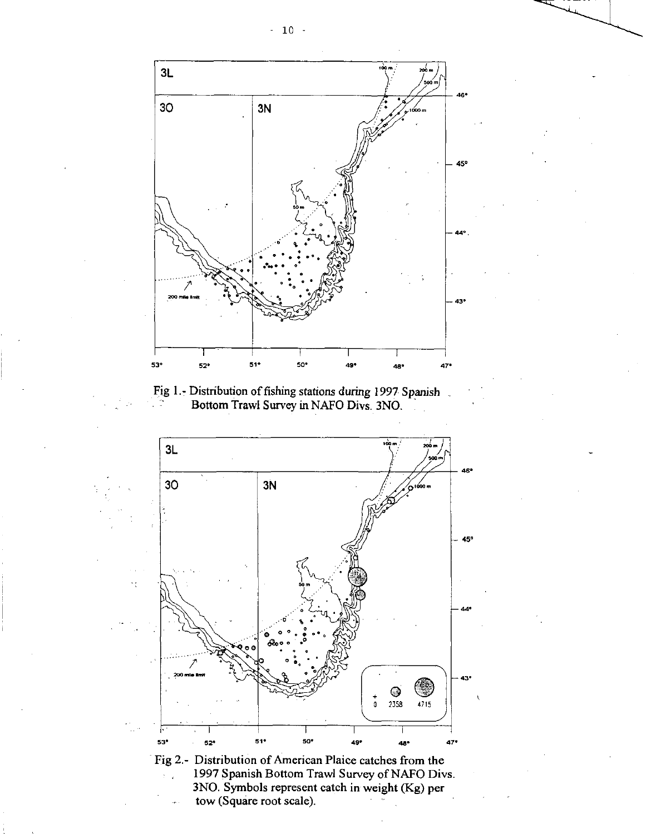

Fig 1.- Distribution of fishing stations during 1997 Spanish Bottom Trawl Survey in NAFO Divs. 3N0.



tow (Square root scale).

 $-10 -$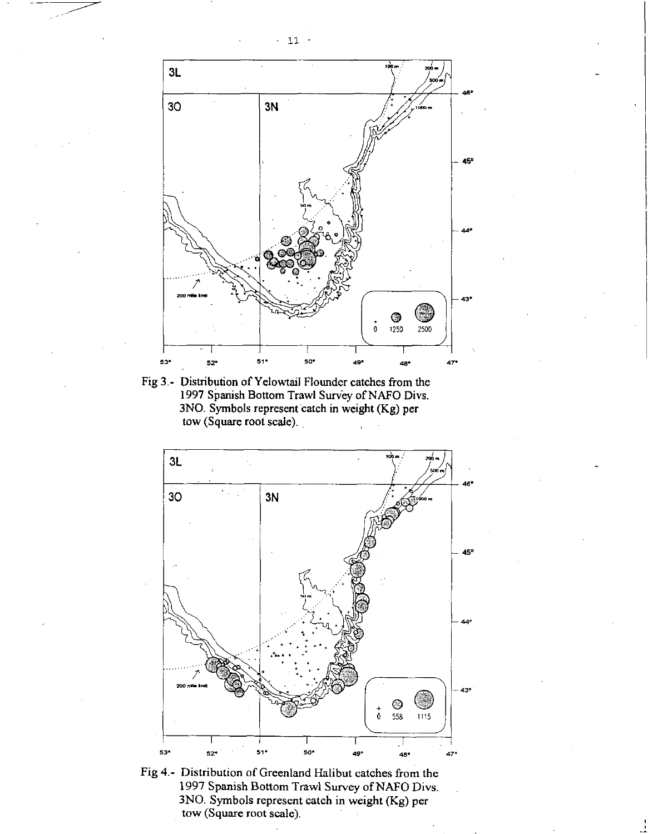

Fig 3.- Distribution of Yelowtail Flounder catches from the 1997 Spanish Bottom Trawl Survey of NAFO Divs. 3NO. Symbols represent catch in weight (Kg) per tow (Square root scale).



Fig 4.- Distribution of Greenland Halibut catches from the 1997 Spanish Bottom Trawl Survey of NAFO Divs. 3NO. Symbols represent catch in weight (Kg) per tow (Square root scale).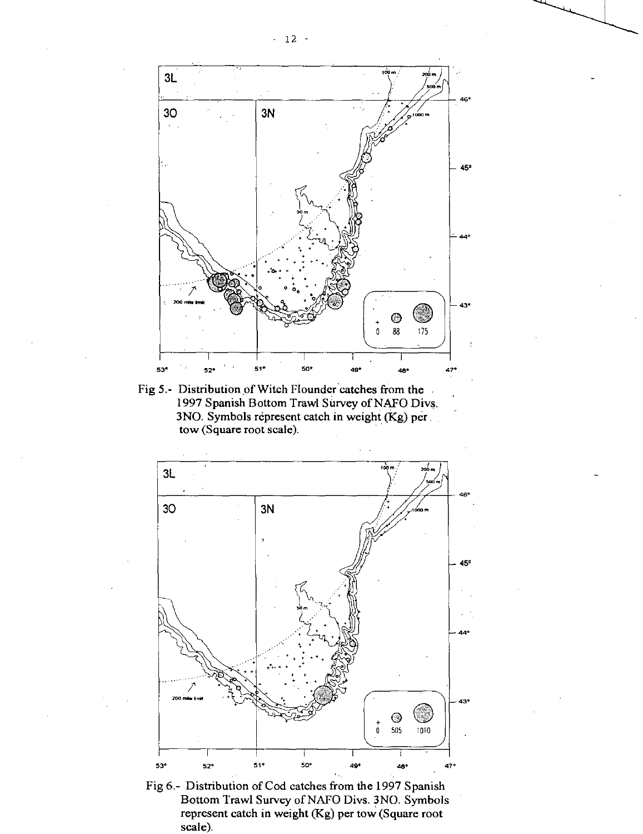

Fig 5.- Distribution of Witch Flounder catches from the 1997 Spanish Bottom Trawl Survey of NAFO Divs. 3NO. Symbols represent catch in weight (Kg) per tow (Square root scale).



Fig 6.- Distribution of Cod catches from the 1997 Spanish Bottom Trawl Survey of NAFO Divs. 3NO. Symbols represent catch in weight (Kg) per tow (Square root scale).